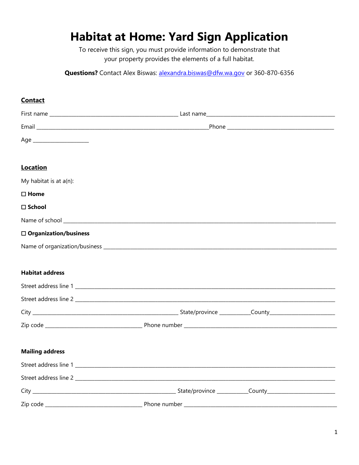# **Habitat at Home: Yard Sign Application**

To receive this sign, you must provide information to demonstrate that your property provides the elements of a full habitat.

Questions? Contact Alex Biswas: alexandra.biswas@dfw.wa.gov or 360-870-6356

# **Contact** <u>Email and the contract of the contract of the contract of the contract of the contract of the contract of the contract of the contract of the contract of the contract of the contract of the contract of the contract of the</u> **Location** My habitat is at a(n):  $\Box$  Home  $\sqcap$  School Name of school and the state of school and the state of school  $\Box$  Organization/business **Habitat address** Zip code **Solution Contract Contract Phone number Solution Contract Contract Contract Contract Contract Contract Contract Contract Contract Contract Contract Contract Contract Contract Contract Contract Contract Contract Mailing address** Street address line 1 and 1 and 1 and 1 and 1 and 1 and 1 and 1 and 1 and 1 and 1 and 1 and 1 and 1 and 1 and 1 Street address line 2 State/province County County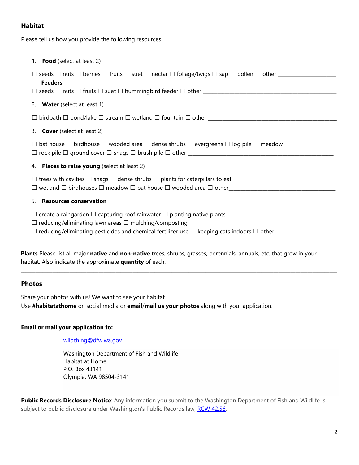## **Habitat**

Please tell us how you provide the following resources.

| 1. <b>Food</b> (select at least 2)                                                                                       |  |  |
|--------------------------------------------------------------------------------------------------------------------------|--|--|
|                                                                                                                          |  |  |
| <b>Feeders</b>                                                                                                           |  |  |
|                                                                                                                          |  |  |
| 2. Water (select at least 1)                                                                                             |  |  |
|                                                                                                                          |  |  |
| 3. Cover (select at least 2)                                                                                             |  |  |
| $\Box$ bat house $\Box$ birdhouse $\Box$ wooded area $\Box$ dense shrubs $\Box$ evergreens $\Box$ log pile $\Box$ meadow |  |  |
|                                                                                                                          |  |  |
| 4. Places to raise young (select at least 2)                                                                             |  |  |
| $\Box$ trees with cavities $\Box$ snags $\Box$ dense shrubs $\Box$ plants for caterpillars to eat                        |  |  |
|                                                                                                                          |  |  |
| <b>Resources conservation</b><br>5.                                                                                      |  |  |
| $\Box$ create a raingarden $\Box$ capturing roof rainwater $\Box$ planting native plants                                 |  |  |
| $\Box$ reducing/eliminating lawn areas $\Box$ mulching/composting                                                        |  |  |
|                                                                                                                          |  |  |
|                                                                                                                          |  |  |

**Plants** Please list all major **native** and **non-native** trees, shrubs, grasses, perennials, annuals, etc. that grow in your habitat. Also indicate the approximate **quantity** of each.

\_\_\_\_\_\_\_\_\_\_\_\_\_\_\_\_\_\_\_\_\_\_\_\_\_\_\_\_\_\_\_\_\_\_\_\_\_\_\_\_\_\_\_\_\_\_\_\_\_\_\_\_\_\_\_\_\_\_\_\_\_\_\_\_\_\_\_\_\_\_\_\_\_\_\_\_\_\_\_\_\_\_\_\_\_\_\_\_\_\_\_\_\_\_\_\_\_\_\_\_\_\_\_\_\_\_\_\_\_\_\_\_\_\_\_\_\_\_\_\_\_\_\_\_\_\_\_\_\_\_

### **Photos**

Share your photos with us! We want to see your habitat.

Use **#habitatathome** on social media or **email**/**mail us your photos** along with your application.

### **Email or mail your application to:**

### wildthing@dfw.wa.gov

Washington Department of Fish and Wildlife Habitat at Home P.O. Box 43141 Olympia, WA 98504-3141

**Public Records Disclosure Notice**: Any information you submit to the Washington Department of Fish and Wildlife is subject to public disclosure under Washington's Public Records law, RCW 42.56.